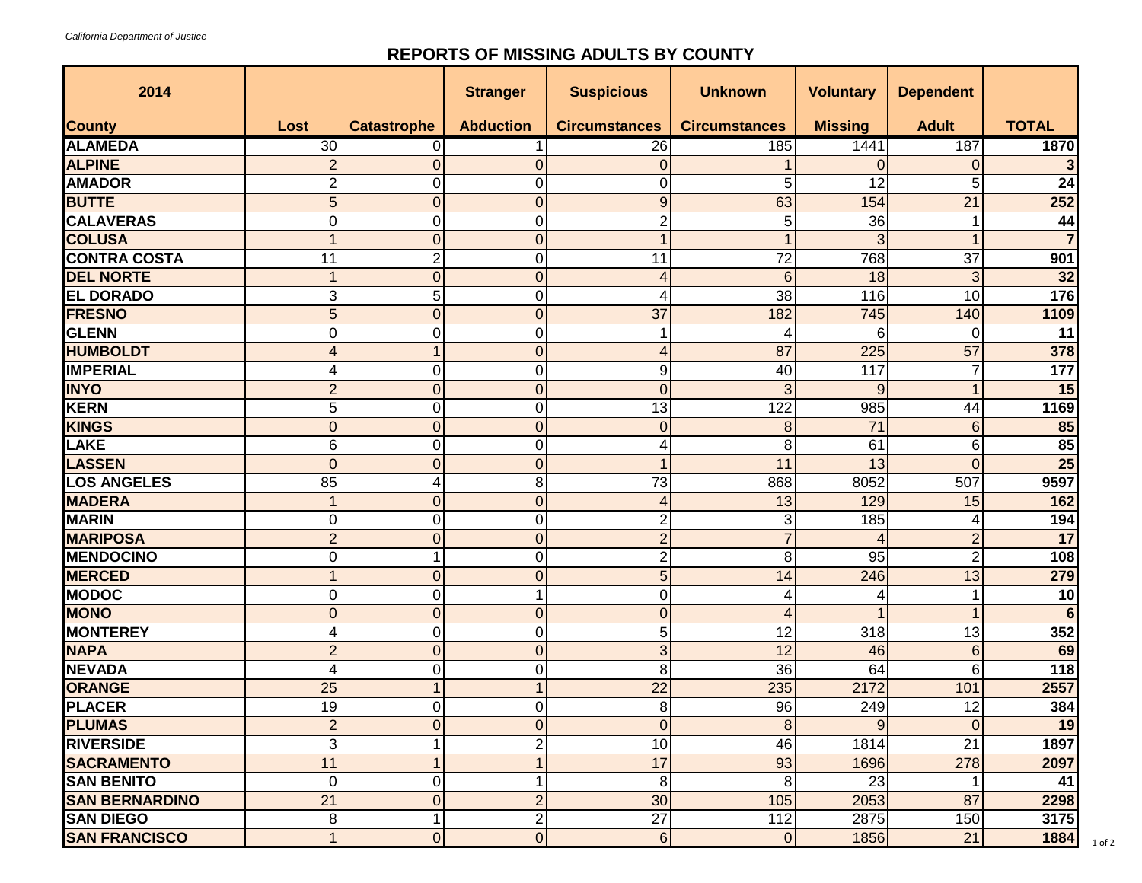## **REPORTS OF MISSING ADULTS BY COUNTY**

| 2014                  |                |                    | <b>Stranger</b>  | <b>Suspicious</b>       | <b>Unknown</b>       | <b>Voluntary</b> | <b>Dependent</b> |                 |
|-----------------------|----------------|--------------------|------------------|-------------------------|----------------------|------------------|------------------|-----------------|
| <b>County</b>         | Lost           | <b>Catastrophe</b> | <b>Abduction</b> | <b>Circumstances</b>    | <b>Circumstances</b> | <b>Missing</b>   | <b>Adult</b>     | <b>TOTAL</b>    |
| <b>ALAMEDA</b>        | 30             | 0                  |                  | 26                      | 185                  | 1441             | 187              | 1870            |
| <b>ALPINE</b>         | $\overline{2}$ | $\mathbf 0$        | $\mathbf 0$      | $\overline{0}$          |                      | 0                | 0                |                 |
| <b>AMADOR</b>         | 2              | 0                  | 0                | 0                       | 5                    | 12               | 5                | 24              |
| <b>BUTTE</b>          | 5              | $\mathbf 0$        | $\overline{0}$   | 9                       | 63                   | 154              | 21               | 252             |
| <b>CALAVERAS</b>      | 0              | 0                  | 0                | $\overline{c}$          | 5                    | 36               |                  | 44              |
| <b>COLUSA</b>         |                | $\mathbf 0$        | $\overline{0}$   | $\mathbf{1}$            |                      | 3                |                  |                 |
| <b>CONTRA COSTA</b>   | 11             | $\overline{c}$     | 0                | 11                      | $\overline{72}$      | 768              | $\overline{37}$  | 901             |
| <b>DEL NORTE</b>      |                | $\overline{0}$     | $\overline{0}$   | 4                       | 6                    | 18               | 3                | 32              |
| <b>EL DORADO</b>      | 3              | 5                  | $\mathbf 0$      | 4                       | 38                   | 116              | 10               | 176             |
| <b>FRESNO</b>         | 5              | $\overline{0}$     | $\overline{0}$   | 37                      | 182                  | 745              | 140              | 1109            |
| <b>GLENN</b>          | 0              | 0                  | 0                |                         | 4                    | 6                | $\Omega$         | 11              |
| <b>HUMBOLDT</b>       | 4              | 1                  | $\overline{0}$   | 4                       | 87                   | 225              | 57               | 378             |
| <b>IMPERIAL</b>       |                | $\pmb{0}$          | 0                | 9                       | 40                   | 117              |                  | 177             |
| <b>INYO</b>           | $\overline{2}$ | $\overline{0}$     | $\overline{0}$   | $\overline{0}$          | 3                    | 9                |                  | 15              |
| <b>KERN</b>           | 5              | $\mathbf 0$        | 0                | 13                      | 122                  | 985              | 44               | 1169            |
| <b>KINGS</b>          | $\Omega$       | $\mathbf 0$        | $\overline{0}$   | $\overline{0}$          | 8                    | 71               | 6                | 85              |
| LAKE                  | 6              | $\mathbf 0$        | $\Omega$         | 4                       | 8                    | 61               | 6                | 85              |
| <b>LASSEN</b>         | $\Omega$       | $\overline{0}$     | $\overline{0}$   | 1                       | 11                   | 13               | $\overline{0}$   | $\overline{25}$ |
| <b>LOS ANGELES</b>    | 85             | 4                  | 8                | 73                      | 868                  | 8052             | 507              | 9597            |
| <b>MADERA</b>         |                | $\mathbf 0$        | $\overline{0}$   | 4                       | 13                   | 129              | 15               | 162             |
| <b>MARIN</b>          | 0              | 0                  | 0                | $\overline{\mathbf{c}}$ | 3                    | 185              | 4                | 194             |
| <b>MARIPOSA</b>       | $\overline{2}$ | $\overline{0}$     | $\overline{0}$   | $\overline{2}$          | $\overline{7}$       | $\overline{4}$   | $\overline{2}$   | 17              |
| <b>MENDOCINO</b>      | 0              | 1                  | $\Omega$         | $\overline{2}$          | 8                    | 95               | $\overline{2}$   | 108             |
| <b>MERCED</b>         |                | $\mathbf 0$        | 0                | 5                       | 14                   | 246              | 13               | 279             |
| <b>MODOC</b>          | $\Omega$       | $\pmb{0}$          | 1                | $\pmb{0}$               | 4                    | 4                |                  | $\overline{10}$ |
| <b>MONO</b>           | $\Omega$       | $\mathbf 0$        | $\overline{0}$   | $\overline{0}$          | 4                    |                  |                  | $6\phantom{1}6$ |
| <b>MONTEREY</b>       | 4              | $\mathbf 0$        | 0                | 5                       | 12                   | 318              | 13               | 352             |
| <b>NAPA</b>           | $\overline{2}$ | $\mathbf 0$        | $\overline{0}$   | 3                       | 12                   | 46               | 6                | 69              |
| <b>NEVADA</b>         |                | 0                  | $\Omega$         | 8                       | 36                   | 64               | 6                | 118             |
| <b>ORANGE</b>         | 25             | 1                  |                  | 22                      | 235                  | 2172             | 101              | 2557            |
| <b>PLACER</b>         | 19             | $\Omega$           | $\Omega$         | 8                       | 96                   | 249              | 12               | 384             |
| <b>PLUMAS</b>         | $\overline{2}$ | $\overline{0}$     | $\mathbf 0$      | $\overline{0}$          | $\bf 8$              | 9                | $\mathbf 0$      | 19              |
| <b>RIVERSIDE</b>      | 3              |                    | 2                | 10                      | 46                   | 1814             | $\overline{21}$  | 1897            |
| <b>SACRAMENTO</b>     | 11             | 1                  | 1                | 17                      | 93                   | 1696             | 278              | 2097            |
| <b>SAN BENITO</b>     | $\Omega$       | 0                  | 1                | 8                       | 8                    | 23               |                  | 41              |
| <b>SAN BERNARDINO</b> | 21             | $\overline{0}$     | $\overline{2}$   | 30                      | 105                  | 2053             | 87               | 2298            |
| <b>SAN DIEGO</b>      | 8              | 1                  | 2                | $\overline{27}$         | 112                  | 2875             | 150              | 3175            |
| <b>SAN FRANCISCO</b>  | $\mathbf{1}$   | $\mathbf 0$        | $\mathbf 0$      | $6 \overline{6}$        | $\overline{0}$       | 1856             | 21               | 1884            |